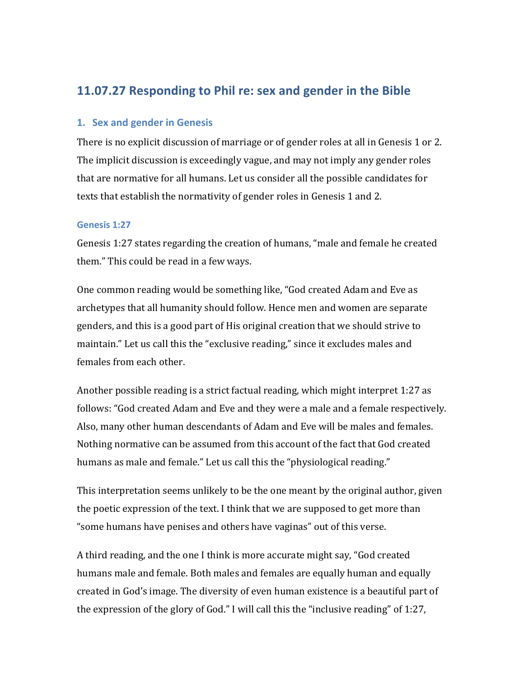# **11.07.27 Responding to Phil re: sex and gender in the Bible**

### **1. Sex and gender in Genesis**

There is no explicit discussion of marriage or of gender roles at all in Genesis 1 or 2. The implicit discussion is exceedingly vague, and may not imply any gender roles that are normative for all humans. Let us consider all the possible candidates for texts that establish the normativity of gender roles in Genesis 1 and 2.

### **Genesis&1:27**

Genesis 1:27 states regarding the creation of humans, "male and female he created them." This could be read in a few ways.

One common reading would be something like, "God created Adam and Eve as archetypes that all humanity should follow. Hence men and women are separate genders, and this is a good part of His original creation that we should strive to maintain." Let us call this the "exclusive reading," since it excludes males and females from each other.

Another possible reading is a strict factual reading, which might interpret 1:27 as follows: "God created Adam and Eve and they were a male and a female respectively. Also, many other human descendants of Adam and Eve will be males and females. Nothing normative can be assumed from this account of the fact that God created humans as male and female." Let us call this the "physiological reading."

This interpretation seems unlikely to be the one meant by the original author, given the poetic expression of the text. I think that we are supposed to get more than " some humans have penises and others have vaginas" out of this verse.

A third reading, and the one I think is more accurate might say, "God created" humans male and female. Both males and females are equally human and equally created in God's image. The diversity of even human existence is a beautiful part of the expression of the glory of God." I will call this the "inclusive reading" of 1:27,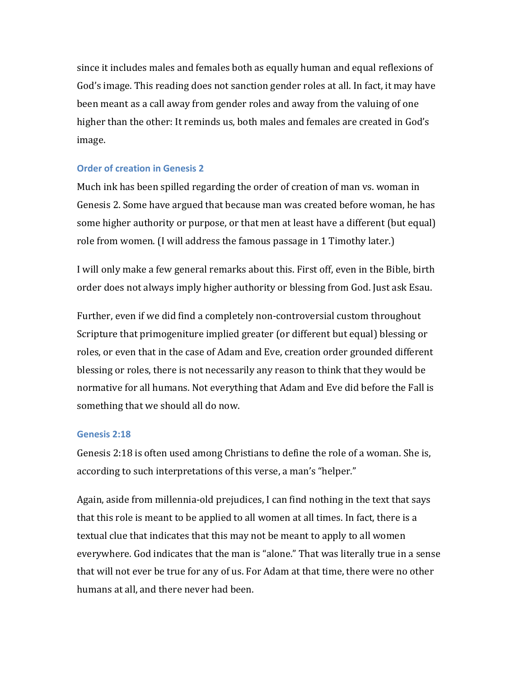since it includes males and females both as equally human and equal reflexions of God's image. This reading does not sanction gender roles at all. In fact, it may have been meant as a call away from gender roles and away from the valuing of one higher than the other: It reminds us, both males and females are created in God's image.

### **Order of creation in Genesis 2**

Much ink has been spilled regarding the order of creation of man vs. woman in Genesis 2. Some have argued that because man was created before woman, he has some higher authority or purpose, or that men at least have a different (but equal) role from women. (I will address the famous passage in 1 Timothy later.)

I will only make a few general remarks about this. First off, even in the Bible, birth order does not always imply higher authority or blessing from God. Just ask Esau.

Further, even if we did find a completely non-controversial custom throughout Scripture that primogeniture implied greater (or different but equal) blessing or roles, or even that in the case of Adam and Eve, creation order grounded different blessing or roles, there is not necessarily any reason to think that they would be normative for all humans. Not everything that Adam and Eve did before the Fall is something that we should all do now.

### **Genesis&2:18**

Genesis 2:18 is often used among Christians to define the role of a woman. She is, according to such interpretations of this verse, a man's "helper."

Again, aside from millennia-old prejudices, I can find nothing in the text that says that this role is meant to be applied to all women at all times. In fact, there is a textual clue that indicates that this may not be meant to apply to all women everywhere. God indicates that the man is "alone." That was literally true in a sense that will not ever be true for any of us. For Adam at that time, there were no other humans at all, and there never had been.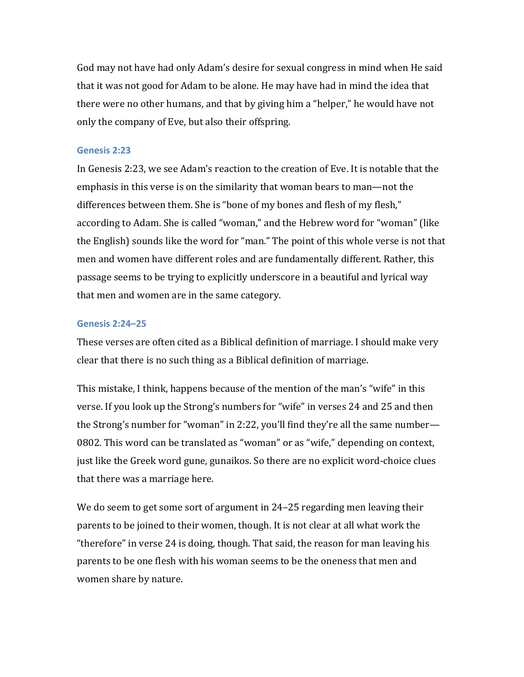God may not have had only Adam's desire for sexual congress in mind when He said that it was not good for Adam to be alone. He may have had in mind the idea that there were no other humans, and that by giving him a "helper," he would have not only the company of Eve, but also their offspring.

#### **Genesis&2:23**

In Genesis 2:23, we see Adam's reaction to the creation of Eve. It is notable that the emphasis in this verse is on the similarity that woman bears to man—not the differences between them. She is "bone of my bones and flesh of my flesh," according to Adam. She is called "woman," and the Hebrew word for "woman" (like the English) sounds like the word for "man." The point of this whole verse is not that men and women have different roles and are fundamentally different. Rather, this passage seems to be trying to explicitly underscore in a beautiful and lyrical way that men and women are in the same category.

#### **Genesis&2:24–25**

These verses are often cited as a Biblical definition of marriage. I should make very clear that there is no such thing as a Biblical definition of marriage.

This mistake, I think, happens because of the mention of the man's "wife" in this verse. If you look up the Strong's numbers for "wife" in verses 24 and 25 and then the Strong's number for "woman" in 2:22, you'll find they're all the same number— 0802. This word can be translated as "woman" or as "wife," depending on context, just like the Greek word gune, gunaikos. So there are no explicit word-choice clues that there was a marriage here.

We do seem to get some sort of argument in 24–25 regarding men leaving their parents to be joined to their women, though. It is not clear at all what work the "therefore" in verse 24 is doing, though. That said, the reason for man leaving his parents to be one flesh with his woman seems to be the oneness that men and women share by nature.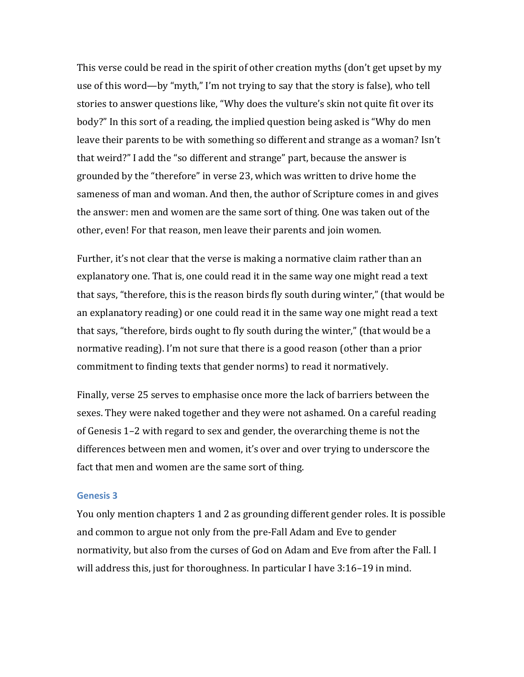This verse could be read in the spirit of other creation myths (don't get upset by my use of this word—by "myth," I'm not trying to say that the story is false), who tell stories to answer questions like, "Why does the vulture's skin not quite fit over its body?" In this sort of a reading, the implied question being asked is "Why do men leave their parents to be with something so different and strange as a woman? Isn't that weird?" I add the "so different and strange" part, because the answer is grounded by the "therefore" in verse 23, which was written to drive home the sameness of man and woman. And then, the author of Scripture comes in and gives the answer: men and women are the same sort of thing. One was taken out of the other, even! For that reason, men leave their parents and join women.

Further, it's not clear that the verse is making a normative claim rather than an explanatory one. That is, one could read it in the same way one might read a text that says, "therefore, this is the reason birds fly south during winter," (that would be an explanatory reading) or one could read it in the same way one might read a text that says, "therefore, birds ought to fly south during the winter," (that would be a normative reading). I'm not sure that there is a good reason (other than a prior commitment to finding texts that gender norms) to read it normatively.

Finally, verse 25 serves to emphasise once more the lack of barriers between the sexes. They were naked together and they were not ashamed. On a careful reading of Genesis 1–2 with regard to sex and gender, the overarching theme is not the differences between men and women, it's over and over trying to underscore the fact that men and women are the same sort of thing.

#### **Genesis&3**

You only mention chapters 1 and 2 as grounding different gender roles. It is possible and common to argue not only from the pre-Fall Adam and Eve to gender normativity, but also from the curses of God on Adam and Eve from after the Fall. I will address this, just for thoroughness. In particular I have  $3:16-19$  in mind.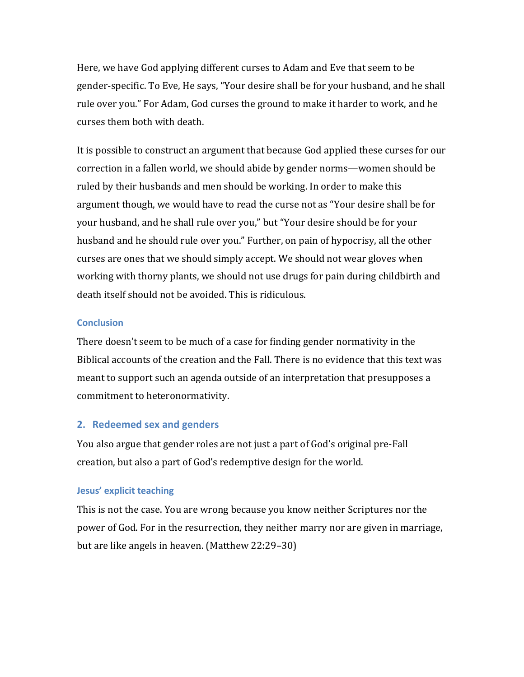Here, we have God applying different curses to Adam and Eve that seem to be gender-specific. To Eve, He says, "Your desire shall be for your husband, and he shall rule over you." For Adam, God curses the ground to make it harder to work, and he curses them both with death.

It is possible to construct an argument that because God applied these curses for our correction in a fallen world, we should abide by gender norms—women should be ruled by their husbands and men should be working. In order to make this argument though, we would have to read the curse not as "Your desire shall be for your husband, and he shall rule over you," but "Your desire should be for your husband and he should rule over you." Further, on pain of hypocrisy, all the other curses are ones that we should simply accept. We should not wear gloves when working with thorny plants, we should not use drugs for pain during childbirth and death itself should not be avoided. This is ridiculous.

### **Conclusion**

There doesn't seem to be much of a case for finding gender normativity in the Biblical accounts of the creation and the Fall. There is no evidence that this text was meant to support such an agenda outside of an interpretation that presupposes a commitment to heteronormativity.

### **2.** Redeemed sex and genders

You also argue that gender roles are not just a part of God's original pre-Fall creation, but also a part of God's redemptive design for the world.

### **Jesus' explicit teaching**

This is not the case. You are wrong because you know neither Scriptures nor the power of God. For in the resurrection, they neither marry nor are given in marriage, but are like angels in heaven. (Matthew 22:29–30)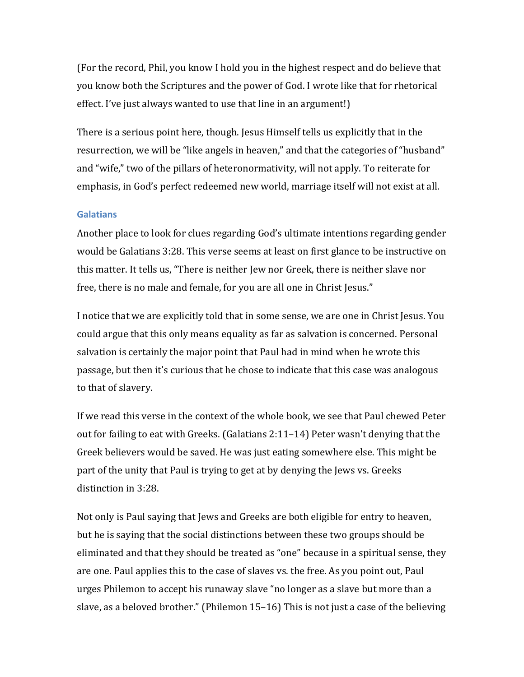(For the record, Phil, you know I hold you in the highest respect and do believe that you know both the Scriptures and the power of God. I wrote like that for rhetorical effect. I've just always wanted to use that line in an argument!)

There is a serious point here, though. Jesus Himself tells us explicitly that in the resurrection, we will be "like angels in heaven," and that the categories of "husband" and "wife," two of the pillars of heteronormativity, will not apply. To reiterate for emphasis, in God's perfect redeemed new world, marriage itself will not exist at all.

#### **Galatians**

Another place to look for clues regarding God's ultimate intentions regarding gender would be Galatians 3:28. This verse seems at least on first glance to be instructive on this matter. It tells us, "There is neither Jew nor Greek, there is neither slave nor free, there is no male and female, for you are all one in Christ Jesus."

I notice that we are explicitly told that in some sense, we are one in Christ Jesus. You could argue that this only means equality as far as salvation is concerned. Personal salvation is certainly the major point that Paul had in mind when he wrote this passage, but then it's curious that he chose to indicate that this case was analogous to that of slavery.

If we read this verse in the context of the whole book, we see that Paul chewed Peter out for failing to eat with Greeks. (Galatians  $2:11-14$ ) Peter wasn't denying that the Greek believers would be saved. He was just eating somewhere else. This might be part of the unity that Paul is trying to get at by denying the Jews vs. Greeks distinction in 3:28.

Not only is Paul saying that Jews and Greeks are both eligible for entry to heaven, but he is saying that the social distinctions between these two groups should be eliminated and that they should be treated as "one" because in a spiritual sense, they are one. Paul applies this to the case of slaves vs. the free. As you point out, Paul urges Philemon to accept his runaway slave "no longer as a slave but more than a slave, as a beloved brother." (Philemon 15–16) This is not just a case of the believing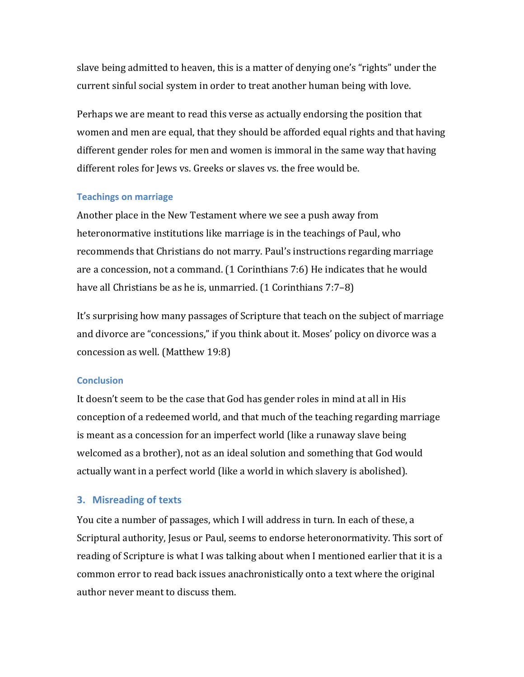slave being admitted to heaven, this is a matter of denying one's "rights" under the current sinful social system in order to treat another human being with love.

Perhaps we are meant to read this verse as actually endorsing the position that women and men are equal, that they should be afforded equal rights and that having different gender roles for men and women is immoral in the same way that having different roles for Jews vs. Greeks or slaves vs. the free would be.

#### **Teachings on marriage**

Another place in the New Testament where we see a push away from heteronormative institutions like marriage is in the teachings of Paul, who recommends that Christians do not marry. Paul's instructions regarding marriage are a concession, not a command. (1 Corinthians 7:6) He indicates that he would have all Christians be as he is, unmarried. (1 Corinthians  $7:7-8$ )

It's surprising how many passages of Scripture that teach on the subject of marriage and divorce are "concessions," if you think about it. Moses' policy on divorce was a concession as well. (Matthew  $19:8$ )

### **Conclusion**

It doesn't seem to be the case that God has gender roles in mind at all in His conception of a redeemed world, and that much of the teaching regarding marriage is meant as a concession for an imperfect world (like a runaway slave being) welcomed as a brother), not as an ideal solution and something that God would actually want in a perfect world (like a world in which slavery is abolished).

### **3. Misreading of texts**

You cite a number of passages, which I will address in turn. In each of these, a Scriptural authority, Jesus or Paul, seems to endorse heteronormativity. This sort of reading of Scripture is what I was talking about when I mentioned earlier that it is a common error to read back issues anachronistically onto a text where the original author never meant to discuss them.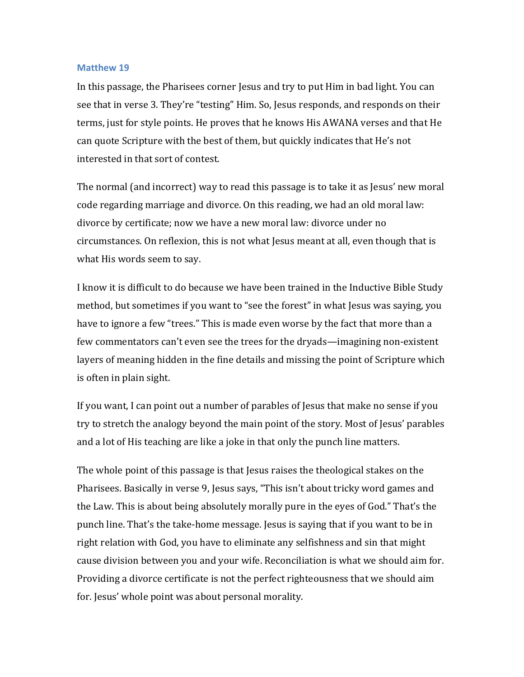#### **Matthew 19**

In this passage, the Pharisees corner Jesus and try to put Him in bad light. You can see that in verse 3. They're "testing" Him. So, Jesus responds, and responds on their terms, just for style points. He proves that he knows His AWANA verses and that He can quote Scripture with the best of them, but quickly indicates that He's not interested in that sort of contest.

The normal (and incorrect) way to read this passage is to take it as Jesus' new moral code regarding marriage and divorce. On this reading, we had an old moral law: divorce by certificate; now we have a new moral law: divorce under no circumstances. On reflexion, this is not what Jesus meant at all, even though that is what His words seem to say.

I know it is difficult to do because we have been trained in the Inductive Bible Study method, but sometimes if you want to "see the forest" in what Jesus was saying, you have to ignore a few "trees." This is made even worse by the fact that more than a few commentators can't even see the trees for the dryads—imagining non-existent layers of meaning hidden in the fine details and missing the point of Scripture which is often in plain sight.

If you want, I can point out a number of parables of Jesus that make no sense if you try to stretch the analogy beyond the main point of the story. Most of Jesus' parables and a lot of His teaching are like a joke in that only the punch line matters.

The whole point of this passage is that Jesus raises the theological stakes on the Pharisees. Basically in verse 9, Jesus says, "This isn't about tricky word games and the Law. This is about being absolutely morally pure in the eyes of God." That's the punch line. That's the take-home message. Jesus is saying that if you want to be in right relation with God, you have to eliminate any selfishness and sin that might cause division between you and your wife. Reconciliation is what we should aim for. Providing a divorce certificate is not the perfect righteousness that we should aim for. Jesus' whole point was about personal morality.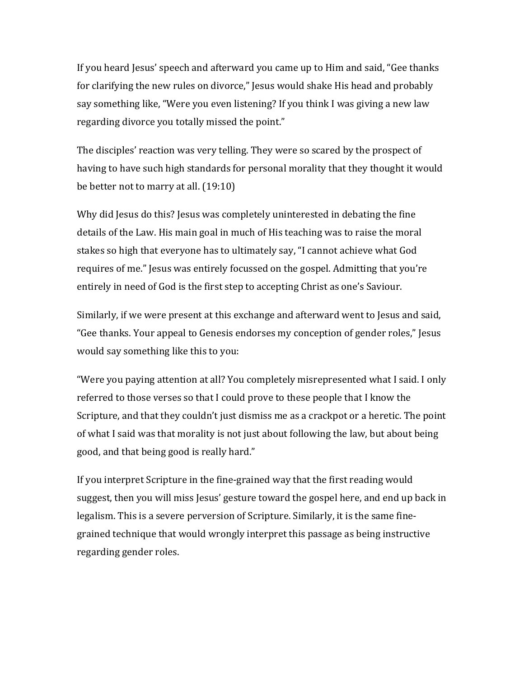If you heard Jesus' speech and afterward you came up to Him and said, "Gee thanks" for clarifying the new rules on divorce," Jesus would shake His head and probably say something like, "Were you even listening? If you think I was giving a new law regarding divorce you totally missed the point."

The disciples' reaction was very telling. They were so scared by the prospect of having to have such high standards for personal morality that they thought it would be better not to marry at all.  $(19:10)$ 

Why did Jesus do this? Jesus was completely uninterested in debating the fine details of the Law. His main goal in much of His teaching was to raise the moral stakes so high that everyone has to ultimately say, "I cannot achieve what God requires of me." Jesus was entirely focussed on the gospel. Admitting that you're entirely in need of God is the first step to accepting Christ as one's Saviour.

Similarly, if we were present at this exchange and afterward went to Jesus and said, "Gee thanks. Your appeal to Genesis endorses my conception of gender roles," Jesus would say something like this to you:

"Were you paying attention at all? You completely misrepresented what I said. I only referred to those verses so that I could prove to these people that I know the Scripture, and that they couldn't just dismiss me as a crackpot or a heretic. The point of what I said was that morality is not just about following the law, but about being good, and that being good is really hard."

If you interpret Scripture in the fine-grained way that the first reading would suggest, then you will miss Jesus' gesture toward the gospel here, and end up back in legalism. This is a severe perversion of Scripture. Similarly, it is the same finegrained technique that would wrongly interpret this passage as being instructive regarding gender roles.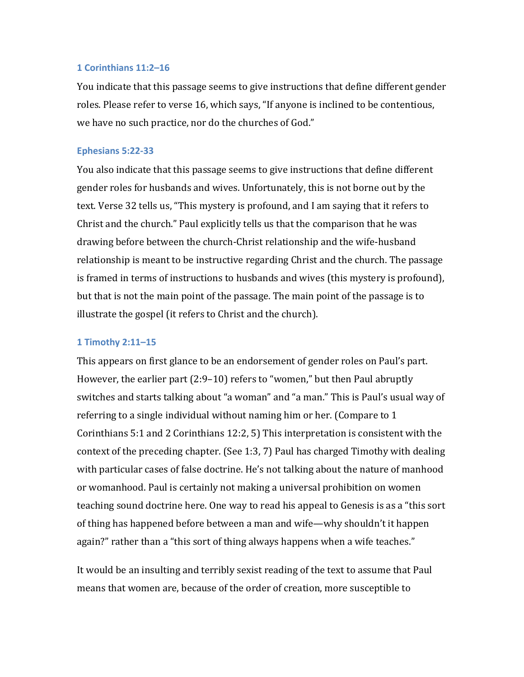#### **1&Corinthians&11:2–16**

You indicate that this passage seems to give instructions that define different gender roles. Please refer to verse 16, which says, "If anyone is inclined to be contentious, we have no such practice, nor do the churches of God."

#### **Ephesians 5:22-33**

You also indicate that this passage seems to give instructions that define different gender roles for husbands and wives. Unfortunately, this is not borne out by the text. Verse 32 tells us, "This mystery is profound, and I am saying that it refers to Christ and the church." Paul explicitly tells us that the comparison that he was drawing before between the church-Christ relationship and the wife-husband relationship is meant to be instructive regarding Christ and the church. The passage is framed in terms of instructions to husbands and wives (this mystery is profound), but that is not the main point of the passage. The main point of the passage is to illustrate the gospel (it refers to Christ and the church).

#### **1&Timothy&2:11–15**

This appears on first glance to be an endorsement of gender roles on Paul's part. However, the earlier part (2:9–10) refers to "women," but then Paul abruptly switches and starts talking about "a woman" and "a man." This is Paul's usual way of referring to a single individual without naming him or her. (Compare to  $1$ ) Corinthians 5:1 and 2 Corinthians 12:2, 5) This interpretation is consistent with the context of the preceding chapter. (See 1:3, 7) Paul has charged Timothy with dealing with particular cases of false doctrine. He's not talking about the nature of manhood or womanhood. Paul is certainly not making a universal prohibition on women teaching sound doctrine here. One way to read his appeal to Genesis is as a "this sort" of thing has happened before between a man and wife—why shouldn't it happen again?" rather than a "this sort of thing always happens when a wife teaches."

It would be an insulting and terribly sexist reading of the text to assume that Paul means that women are, because of the order of creation, more susceptible to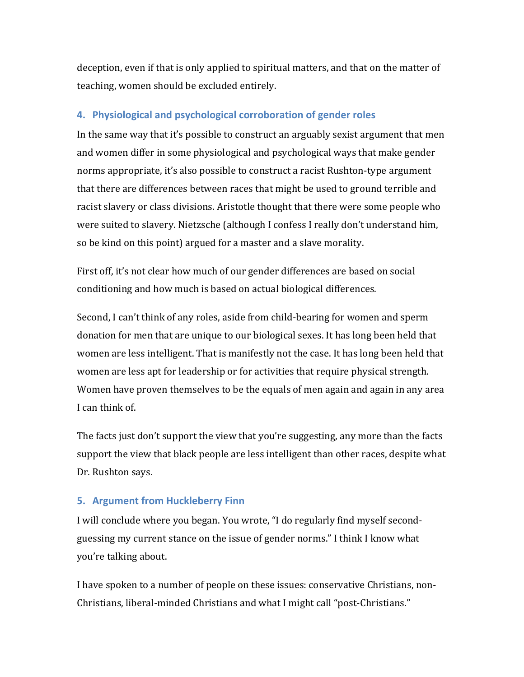deception, even if that is only applied to spiritual matters, and that on the matter of teaching, women should be excluded entirely.

# **4. Physiological and psychological corroboration of gender roles**

In the same way that it's possible to construct an arguably sexist argument that men and women differ in some physiological and psychological ways that make gender norms appropriate, it's also possible to construct a racist Rushton-type argument that there are differences between races that might be used to ground terrible and racist slavery or class divisions. Aristotle thought that there were some people who were suited to slavery. Nietzsche (although I confess I really don't understand him, so be kind on this point) argued for a master and a slave morality.

First off, it's not clear how much of our gender differences are based on social conditioning and how much is based on actual biological differences.

Second, I can't think of any roles, aside from child-bearing for women and sperm donation for men that are unique to our biological sexes. It has long been held that women are less intelligent. That is manifestly not the case. It has long been held that women are less apt for leadership or for activities that require physical strength. Women have proven themselves to be the equals of men again and again in any area I can think of.

The facts just don't support the view that you're suggesting, any more than the facts support the view that black people are less intelligent than other races, despite what Dr. Rushton says.

## **5. Argument from Huckleberry Finn**

I will conclude where you began. You wrote, "I do regularly find myself secondguessing my current stance on the issue of gender norms." I think I know what you're talking about.

I have spoken to a number of people on these issues: conservative Christians, non-Christians, liberal-minded Christians and what I might call "post-Christians."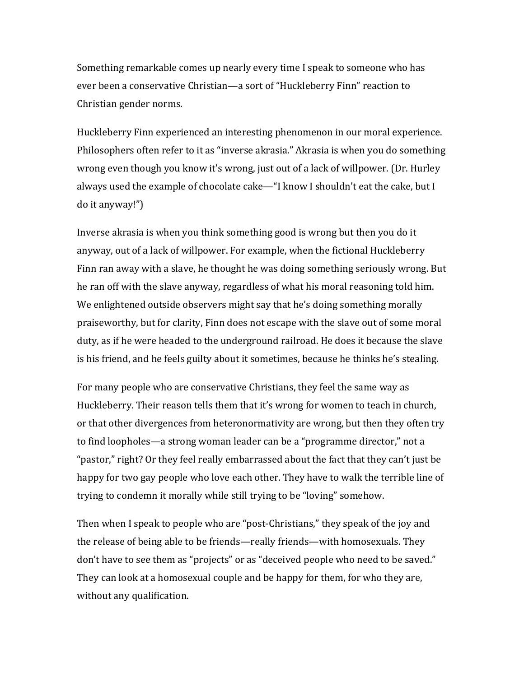Something remarkable comes up nearly every time I speak to someone who has ever been a conservative Christian—a sort of "Huckleberry Finn" reaction to Christian gender norms.

Huckleberry Finn experienced an interesting phenomenon in our moral experience. Philosophers often refer to it as "inverse akrasia." Akrasia is when you do something wrong even though you know it's wrong, just out of a lack of willpower. (Dr. Hurley always used the example of chocolate cake—"I know I shouldn't eat the cake, but I  $\omega$  it anyway!")

Inverse akrasia is when you think something good is wrong but then you do it anyway, out of a lack of willpower. For example, when the fictional Huckleberry Finn ran away with a slave, he thought he was doing something seriously wrong. But he ran off with the slave anyway, regardless of what his moral reasoning told him. We enlightened outside observers might say that he's doing something morally praiseworthy, but for clarity, Finn does not escape with the slave out of some moral duty, as if he were headed to the underground railroad. He does it because the slave is his friend, and he feels guilty about it sometimes, because he thinks he's stealing.

For many people who are conservative Christians, they feel the same way as Huckleberry. Their reason tells them that it's wrong for women to teach in church, or that other divergences from heteronormativity are wrong, but then they often try to find loopholes—a strong woman leader can be a "programme director," not a "pastor," right? Or they feel really embarrassed about the fact that they can't just be happy for two gay people who love each other. They have to walk the terrible line of trying to condemn it morally while still trying to be "loving" somehow.

Then when I speak to people who are "post-Christians," they speak of the joy and the release of being able to be friends—really friends—with homosexuals. They don't have to see them as "projects" or as "deceived people who need to be saved." They can look at a homosexual couple and be happy for them, for who they are, without any qualification.